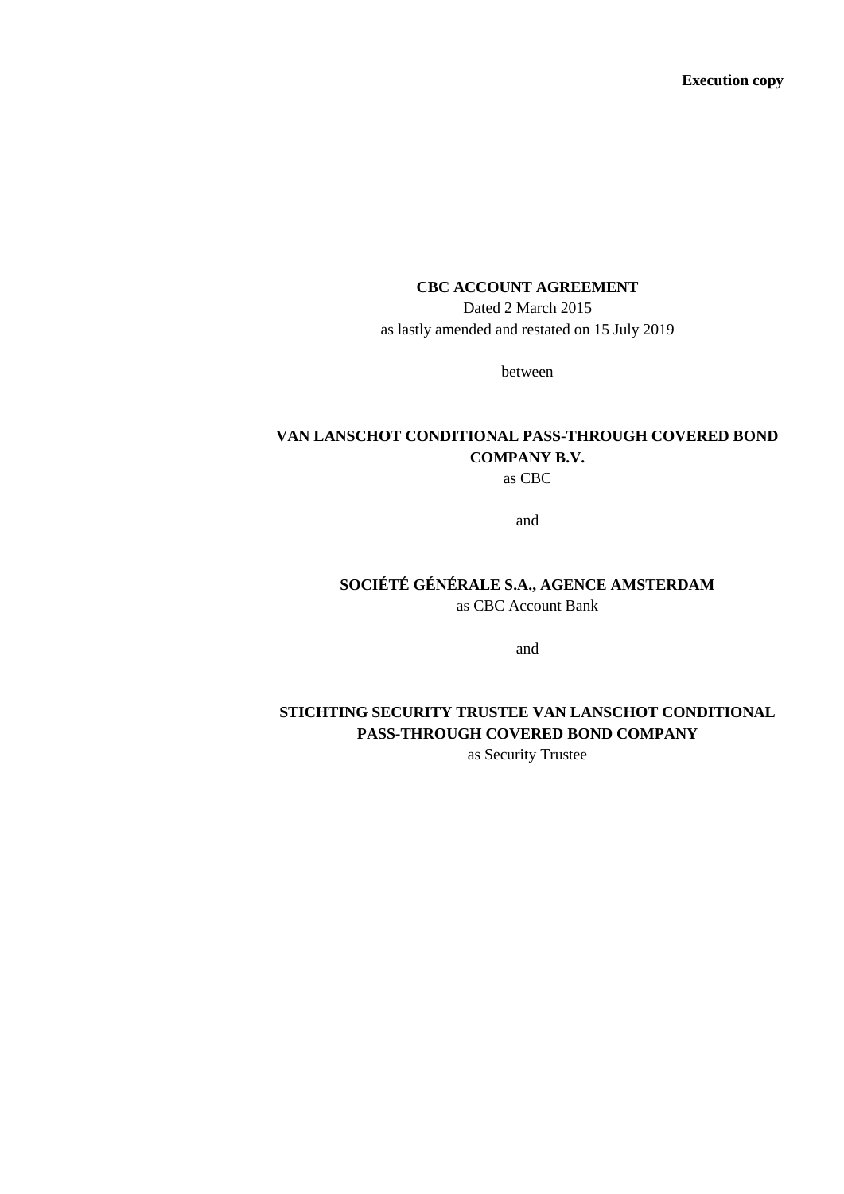**Execution copy**

## **CBC ACCOUNT AGREEMENT**

Dated 2 March 2015 as lastly amended and restated on 15 July 2019

between

# **VAN LANSCHOT CONDITIONAL PASS-THROUGH COVERED BOND COMPANY B.V.**

as CBC

and

## **SOCIÉTÉ GÉNÉRALE S.A., AGENCE AMSTERDAM**  as CBC Account Bank

and

# **STICHTING SECURITY TRUSTEE VAN LANSCHOT CONDITIONAL PASS-THROUGH COVERED BOND COMPANY**

as Security Trustee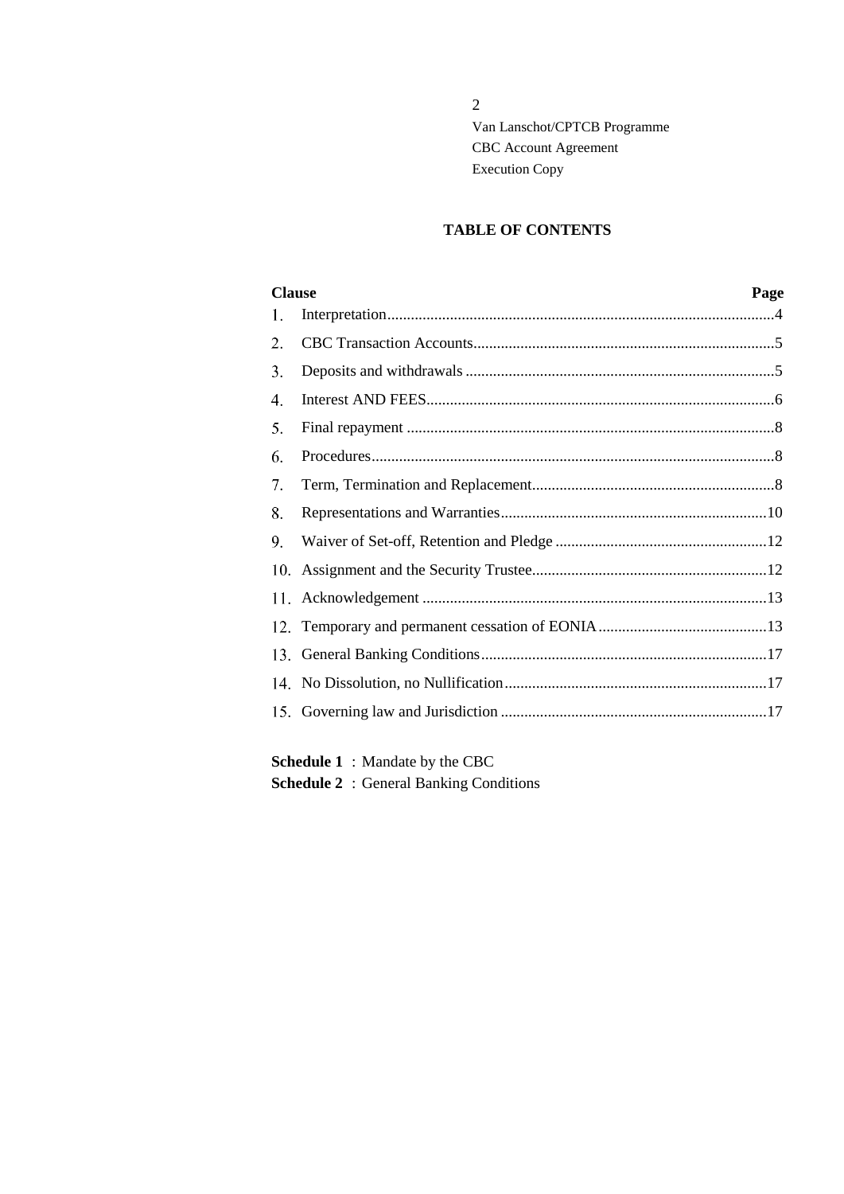## **TABLE OF CONTENTS**

| <b>Clause</b> |  | Page |
|---------------|--|------|
| 1.            |  |      |
| 2.            |  |      |
| 3.            |  |      |
| 4.            |  |      |
| 5.            |  |      |
| 6.            |  |      |
| 7.            |  |      |
| 8.            |  |      |
| 9.            |  |      |
|               |  |      |
|               |  |      |
|               |  |      |
|               |  |      |
|               |  |      |
|               |  |      |
|               |  |      |

**Schedule 1** : Mandate by the CBC **Schedule 2** : General Banking Conditions

2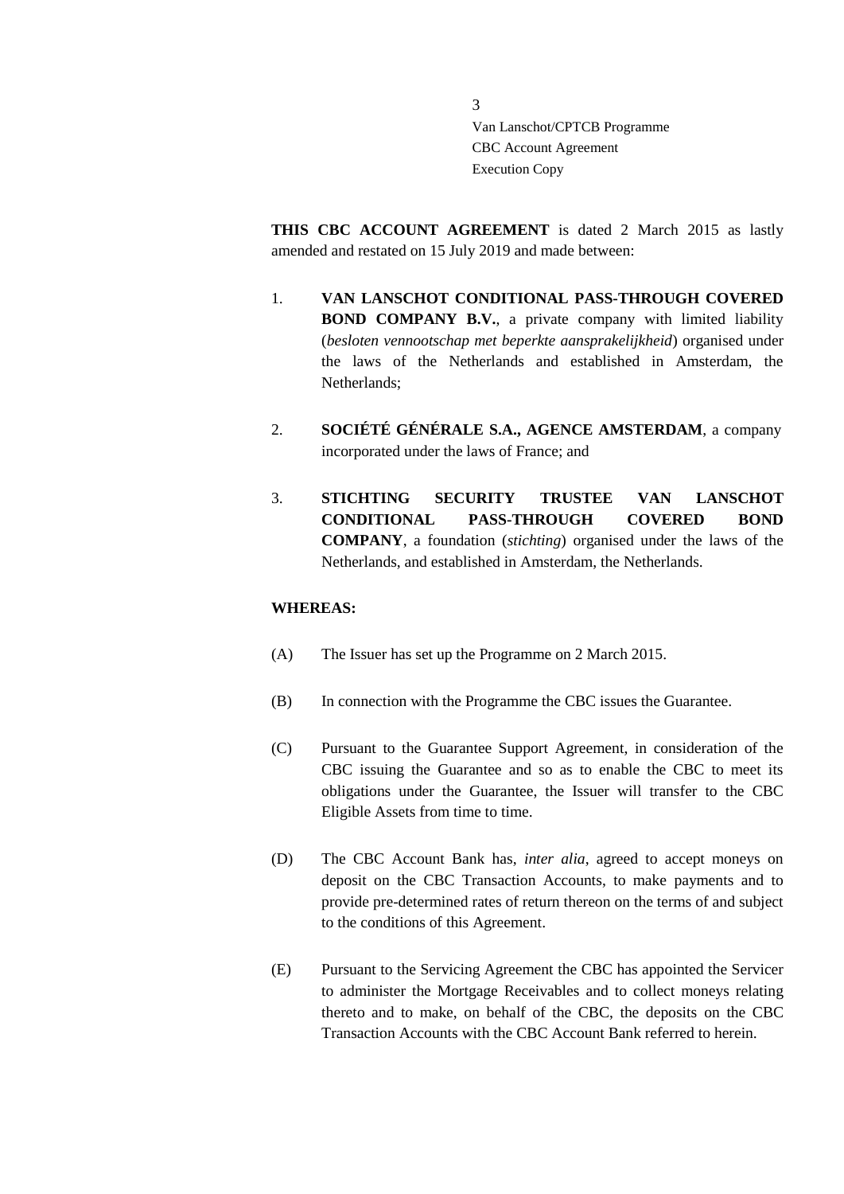**THIS CBC ACCOUNT AGREEMENT** is dated 2 March 2015 as lastly amended and restated on 15 July 2019 and made between:

- 1. **VAN LANSCHOT CONDITIONAL PASS-THROUGH COVERED BOND COMPANY B.V.**, a private company with limited liability (*besloten vennootschap met beperkte aansprakelijkheid*) organised under the laws of the Netherlands and established in Amsterdam, the Netherlands;
- 2. **SOCIÉTÉ GÉNÉRALE S.A., AGENCE AMSTERDAM**, a company incorporated under the laws of France; and
- 3. **STICHTING SECURITY TRUSTEE VAN LANSCHOT CONDITIONAL PASS-THROUGH COVERED BOND COMPANY**, a foundation (*stichting*) organised under the laws of the Netherlands, and established in Amsterdam, the Netherlands.

## **WHEREAS:**

- (A) The Issuer has set up the Programme on 2 March 2015.
- (B) In connection with the Programme the CBC issues the Guarantee.
- (C) Pursuant to the Guarantee Support Agreement, in consideration of the CBC issuing the Guarantee and so as to enable the CBC to meet its obligations under the Guarantee, the Issuer will transfer to the CBC Eligible Assets from time to time.
- (D) The CBC Account Bank has, *inter alia*, agreed to accept moneys on deposit on the CBC Transaction Accounts, to make payments and to provide pre-determined rates of return thereon on the terms of and subject to the conditions of this Agreement.
- (E) Pursuant to the Servicing Agreement the CBC has appointed the Servicer to administer the Mortgage Receivables and to collect moneys relating thereto and to make, on behalf of the CBC, the deposits on the CBC Transaction Accounts with the CBC Account Bank referred to herein.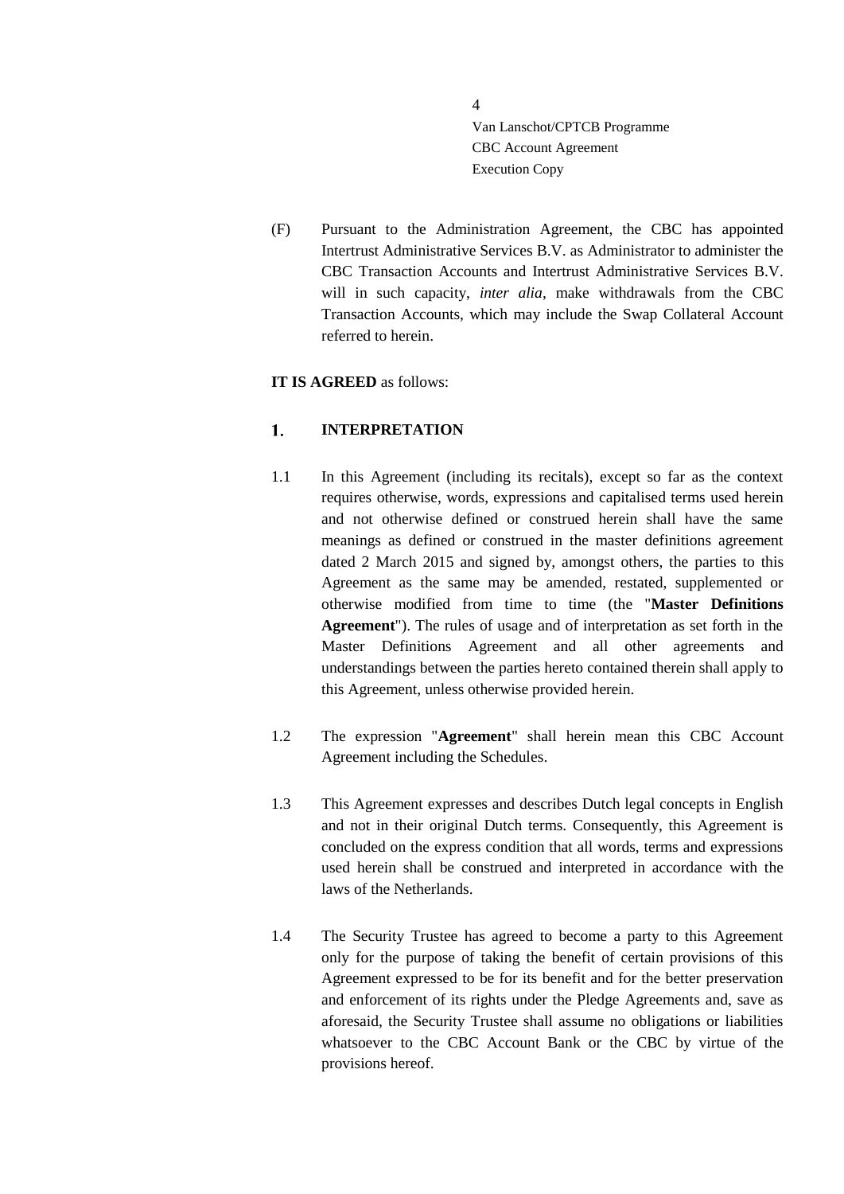(F) Pursuant to the Administration Agreement, the CBC has appointed Intertrust Administrative Services B.V. as Administrator to administer the CBC Transaction Accounts and Intertrust Administrative Services B.V. will in such capacity, *inter alia*, make withdrawals from the CBC Transaction Accounts, which may include the Swap Collateral Account referred to herein.

## **IT IS AGREED** as follows:

#### <span id="page-3-0"></span> $1<sup>1</sup>$ **INTERPRETATION**

- 1.1 In this Agreement (including its recitals), except so far as the context requires otherwise, words, expressions and capitalised terms used herein and not otherwise defined or construed herein shall have the same meanings as defined or construed in the master definitions agreement dated 2 March 2015 and signed by, amongst others, the parties to this Agreement as the same may be amended, restated, supplemented or otherwise modified from time to time (the "**Master Definitions Agreement**"). The rules of usage and of interpretation as set forth in the Master Definitions Agreement and all other agreements and understandings between the parties hereto contained therein shall apply to this Agreement, unless otherwise provided herein.
- 1.2 The expression "**Agreement**" shall herein mean this CBC Account Agreement including the Schedules.
- 1.3 This Agreement expresses and describes Dutch legal concepts in English and not in their original Dutch terms. Consequently, this Agreement is concluded on the express condition that all words, terms and expressions used herein shall be construed and interpreted in accordance with the laws of the Netherlands.
- 1.4 The Security Trustee has agreed to become a party to this Agreement only for the purpose of taking the benefit of certain provisions of this Agreement expressed to be for its benefit and for the better preservation and enforcement of its rights under the Pledge Agreements and, save as aforesaid, the Security Trustee shall assume no obligations or liabilities whatsoever to the CBC Account Bank or the CBC by virtue of the provisions hereof.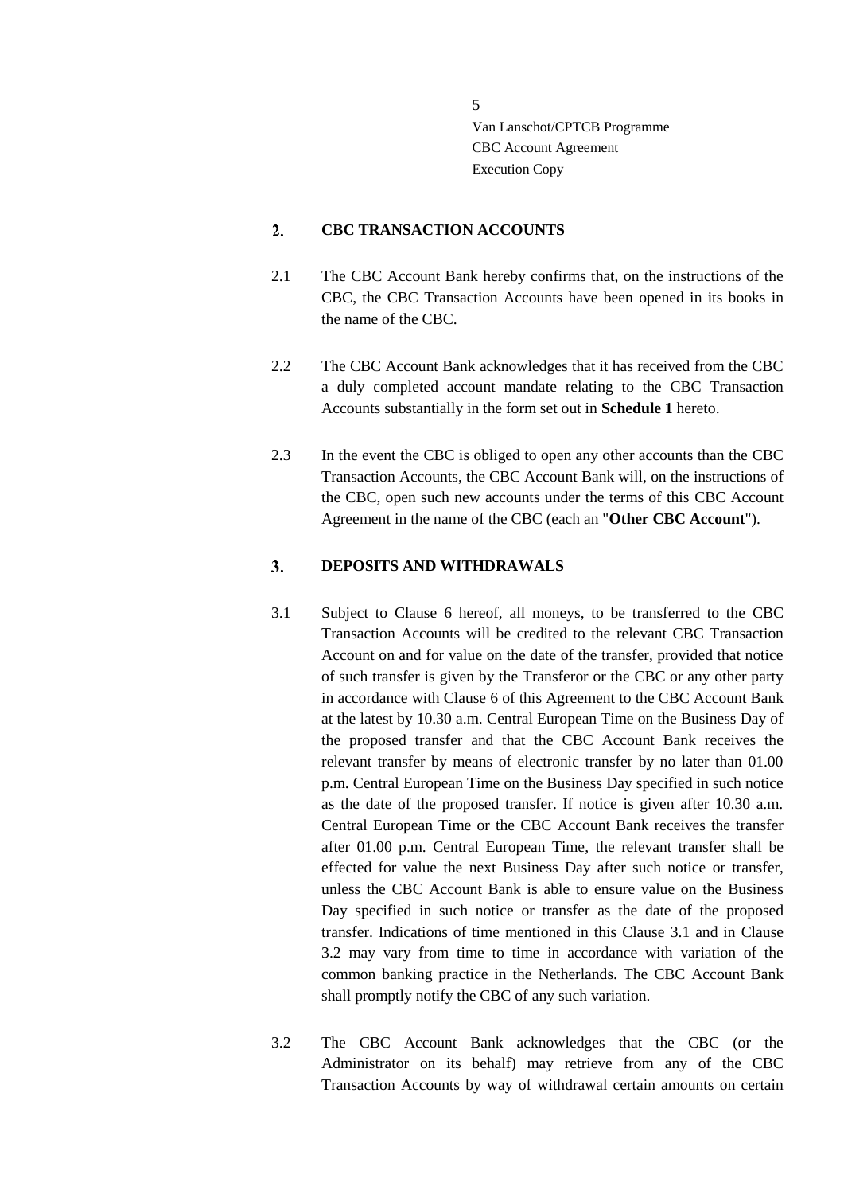#### <span id="page-4-0"></span> $2.$ **CBC TRANSACTION ACCOUNTS**

- 2.1 The CBC Account Bank hereby confirms that, on the instructions of the CBC, the CBC Transaction Accounts have been opened in its books in the name of the CBC.
- 2.2 The CBC Account Bank acknowledges that it has received from the CBC a duly completed account mandate relating to the CBC Transaction Accounts substantially in the form set out in **Schedule 1** hereto.
- 2.3 In the event the CBC is obliged to open any other accounts than the CBC Transaction Accounts, the CBC Account Bank will, on the instructions of the CBC, open such new accounts under the terms of this CBC Account Agreement in the name of the CBC (each an "**Other CBC Account**").

#### <span id="page-4-1"></span>3. **DEPOSITS AND WITHDRAWALS**

- <span id="page-4-2"></span>3.1 Subject to Clause [6](#page-7-1) hereof, all moneys, to be transferred to the CBC Transaction Accounts will be credited to the relevant CBC Transaction Account on and for value on the date of the transfer, provided that notice of such transfer is given by the Transferor or the CBC or any other party in accordance with Clause [6](#page-7-1) of this Agreement to the CBC Account Bank at the latest by 10.30 a.m. Central European Time on the Business Day of the proposed transfer and that the CBC Account Bank receives the relevant transfer by means of electronic transfer by no later than 01.00 p.m. Central European Time on the Business Day specified in such notice as the date of the proposed transfer. If notice is given after 10.30 a.m. Central European Time or the CBC Account Bank receives the transfer after 01.00 p.m. Central European Time, the relevant transfer shall be effected for value the next Business Day after such notice or transfer, unless the CBC Account Bank is able to ensure value on the Business Day specified in such notice or transfer as the date of the proposed transfer. Indications of time mentioned in this Clause [3.1](#page-4-2) and in Clause [3.2](#page-4-3) may vary from time to time in accordance with variation of the common banking practice in the Netherlands. The CBC Account Bank shall promptly notify the CBC of any such variation.
- <span id="page-4-3"></span>3.2 The CBC Account Bank acknowledges that the CBC (or the Administrator on its behalf) may retrieve from any of the CBC Transaction Accounts by way of withdrawal certain amounts on certain

5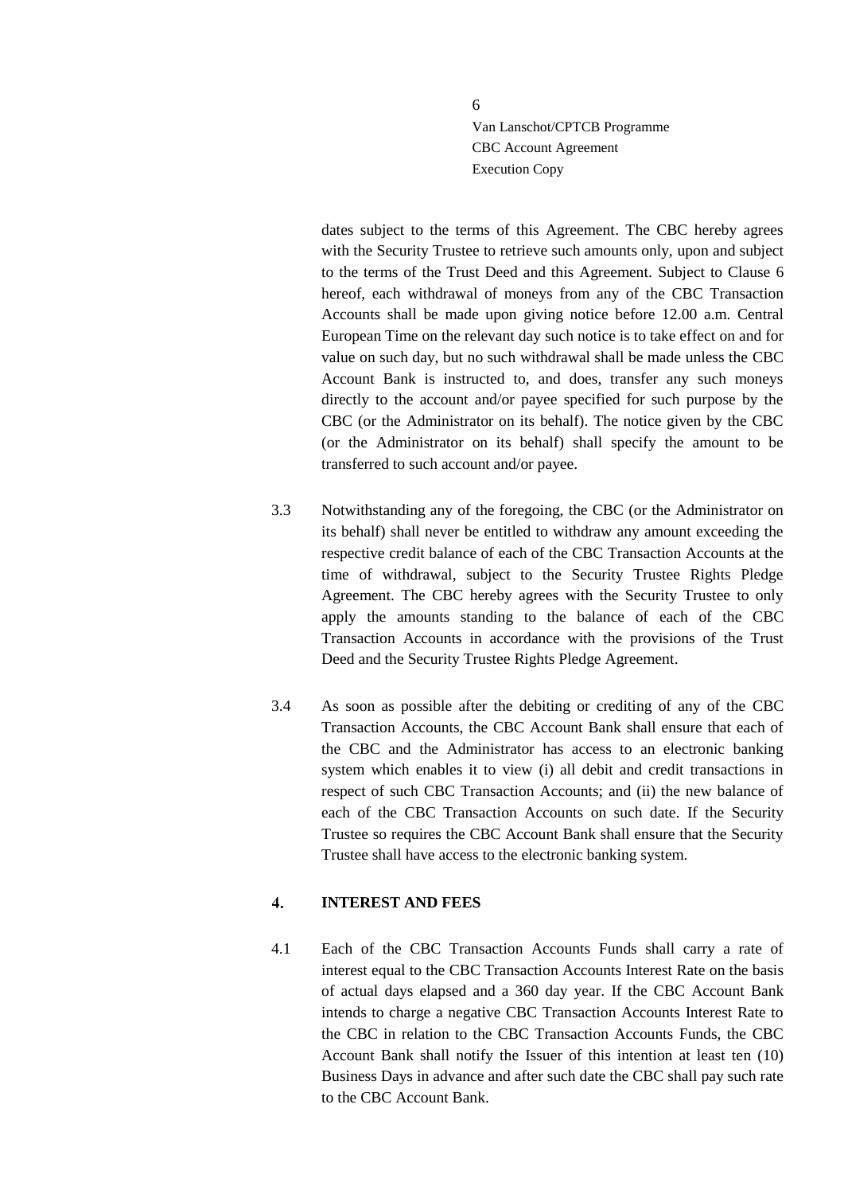dates subject to the terms of this Agreement. The CBC hereby agrees with the Security Trustee to retrieve such amounts only, upon and subject to the terms of the Trust Deed and this Agreement. Subject to Clause [6](#page-7-1) hereof, each withdrawal of moneys from any of the CBC Transaction Accounts shall be made upon giving notice before 12.00 a.m. Central European Time on the relevant day such notice is to take effect on and for value on such day, but no such withdrawal shall be made unless the CBC Account Bank is instructed to, and does, transfer any such moneys directly to the account and/or payee specified for such purpose by the CBC (or the Administrator on its behalf). The notice given by the CBC (or the Administrator on its behalf) shall specify the amount to be transferred to such account and/or payee.

- 3.3 Notwithstanding any of the foregoing, the CBC (or the Administrator on its behalf) shall never be entitled to withdraw any amount exceeding the respective credit balance of each of the CBC Transaction Accounts at the time of withdrawal, subject to the Security Trustee Rights Pledge Agreement. The CBC hereby agrees with the Security Trustee to only apply the amounts standing to the balance of each of the CBC Transaction Accounts in accordance with the provisions of the Trust Deed and the Security Trustee Rights Pledge Agreement.
- 3.4 As soon as possible after the debiting or crediting of any of the CBC Transaction Accounts, the CBC Account Bank shall ensure that each of the CBC and the Administrator has access to an electronic banking system which enables it to view (i) all debit and credit transactions in respect of such CBC Transaction Accounts; and (ii) the new balance of each of the CBC Transaction Accounts on such date. If the Security Trustee so requires the CBC Account Bank shall ensure that the Security Trustee shall have access to the electronic banking system.

#### <span id="page-5-0"></span> $\overline{4}$ . **INTEREST AND FEES**

<span id="page-5-1"></span>4.1 Each of the CBC Transaction Accounts Funds shall carry a rate of interest equal to the CBC Transaction Accounts Interest Rate on the basis of actual days elapsed and a 360 day year. If the CBC Account Bank intends to charge a negative CBC Transaction Accounts Interest Rate to the CBC in relation to the CBC Transaction Accounts Funds, the CBC Account Bank shall notify the Issuer of this intention at least ten (10) Business Days in advance and after such date the CBC shall pay such rate to the CBC Account Bank.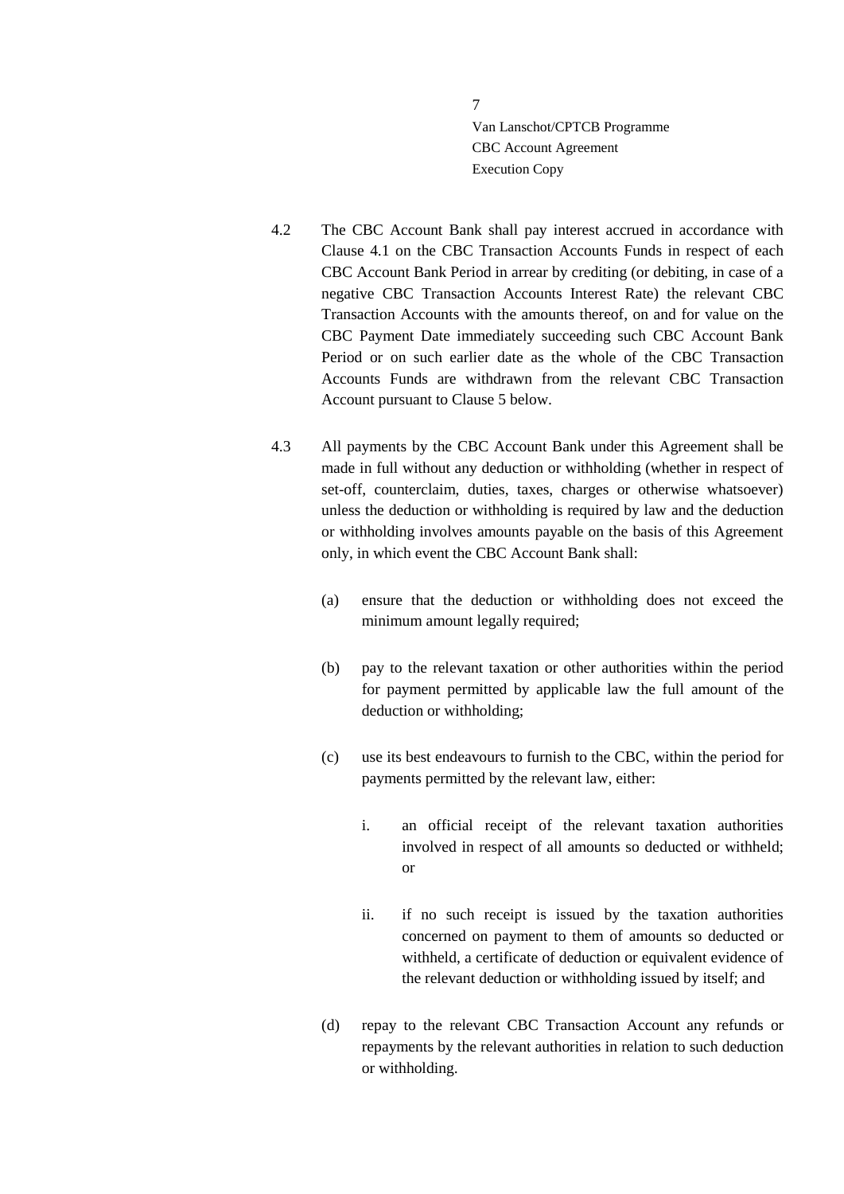- 4.2 The CBC Account Bank shall pay interest accrued in accordance with Clause [4.1](#page-5-1) on the CBC Transaction Accounts Funds in respect of each CBC Account Bank Period in arrear by crediting (or debiting, in case of a negative CBC Transaction Accounts Interest Rate) the relevant CBC Transaction Accounts with the amounts thereof, on and for value on the CBC Payment Date immediately succeeding such CBC Account Bank Period or on such earlier date as the whole of the CBC Transaction Accounts Funds are withdrawn from the relevant CBC Transaction Account pursuant to Clause [5](#page-7-0) below.
- <span id="page-6-0"></span>4.3 All payments by the CBC Account Bank under this Agreement shall be made in full without any deduction or withholding (whether in respect of set-off, counterclaim, duties, taxes, charges or otherwise whatsoever) unless the deduction or withholding is required by law and the deduction or withholding involves amounts payable on the basis of this Agreement only, in which event the CBC Account Bank shall:
	- (a) ensure that the deduction or withholding does not exceed the minimum amount legally required;
	- (b) pay to the relevant taxation or other authorities within the period for payment permitted by applicable law the full amount of the deduction or withholding;
	- (c) use its best endeavours to furnish to the CBC, within the period for payments permitted by the relevant law, either:
		- i. an official receipt of the relevant taxation authorities involved in respect of all amounts so deducted or withheld; or
		- ii. if no such receipt is issued by the taxation authorities concerned on payment to them of amounts so deducted or withheld, a certificate of deduction or equivalent evidence of the relevant deduction or withholding issued by itself; and
	- (d) repay to the relevant CBC Transaction Account any refunds or repayments by the relevant authorities in relation to such deduction or withholding.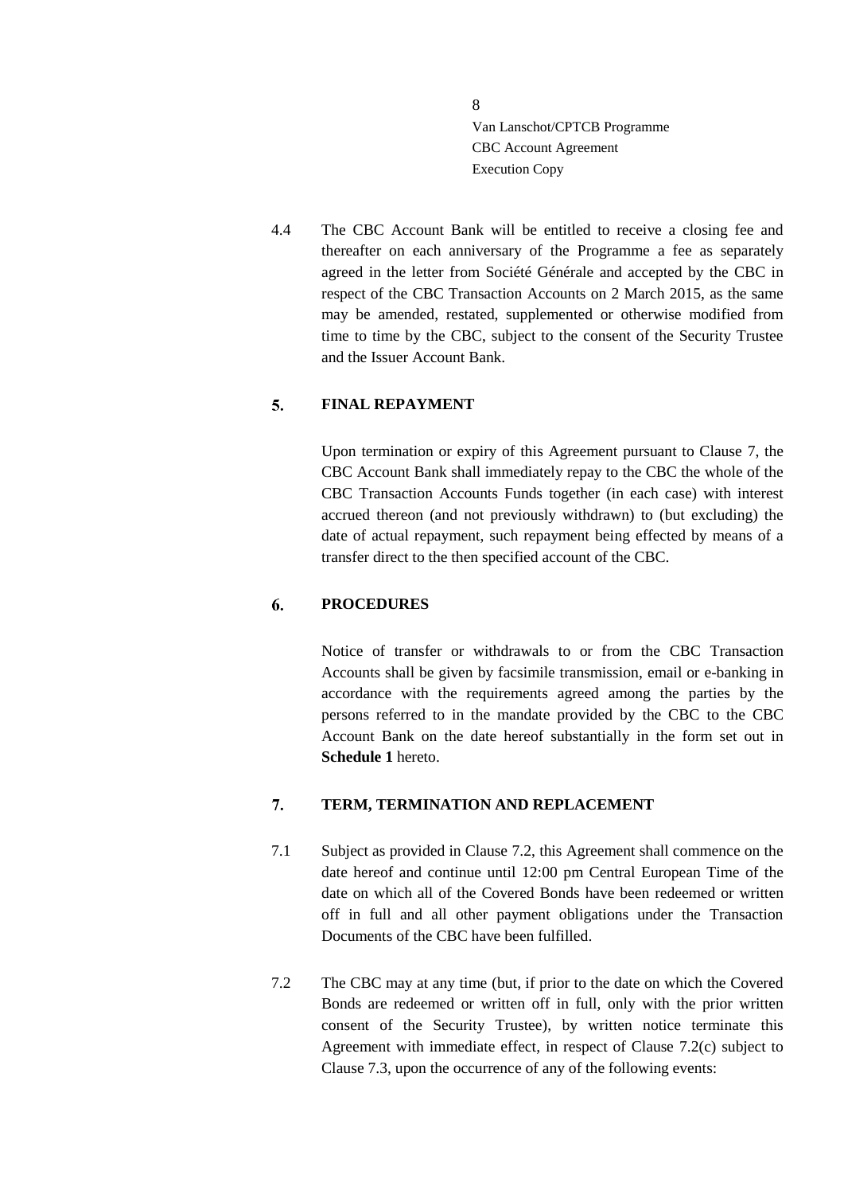4.4 The CBC Account Bank will be entitled to receive a closing fee and thereafter on each anniversary of the Programme a fee as separately agreed in the letter from Société Générale and accepted by the CBC in respect of the CBC Transaction Accounts on 2 March 2015, as the same may be amended, restated, supplemented or otherwise modified from time to time by the CBC, subject to the consent of the Security Trustee and the Issuer Account Bank.

#### <span id="page-7-0"></span>5. **FINAL REPAYMENT**

Upon termination or expiry of this Agreement pursuant to Clause [7,](#page-7-2) the CBC Account Bank shall immediately repay to the CBC the whole of the CBC Transaction Accounts Funds together (in each case) with interest accrued thereon (and not previously withdrawn) to (but excluding) the date of actual repayment, such repayment being effected by means of a transfer direct to the then specified account of the CBC.

#### <span id="page-7-1"></span>6. **PROCEDURES**

Notice of transfer or withdrawals to or from the CBC Transaction Accounts shall be given by facsimile transmission, email or e-banking in accordance with the requirements agreed among the parties by the persons referred to in the mandate provided by the CBC to the CBC Account Bank on the date hereof substantially in the form set out in **Schedule 1** hereto.

#### <span id="page-7-2"></span>7. **TERM, TERMINATION AND REPLACEMENT**

- 7.1 Subject as provided in Clause [7.2,](#page-7-3) this Agreement shall commence on the date hereof and continue until 12:00 pm Central European Time of the date on which all of the Covered Bonds have been redeemed or written off in full and all other payment obligations under the Transaction Documents of the CBC have been fulfilled.
- <span id="page-7-3"></span>7.2 The CBC may at any time (but, if prior to the date on which the Covered Bonds are redeemed or written off in full, only with the prior written consent of the Security Trustee), by written notice terminate this Agreement with immediate effect, in respect of Clause [7.2\(](#page-7-3)c) subject to Clause [7.3,](#page-8-0) upon the occurrence of any of the following events: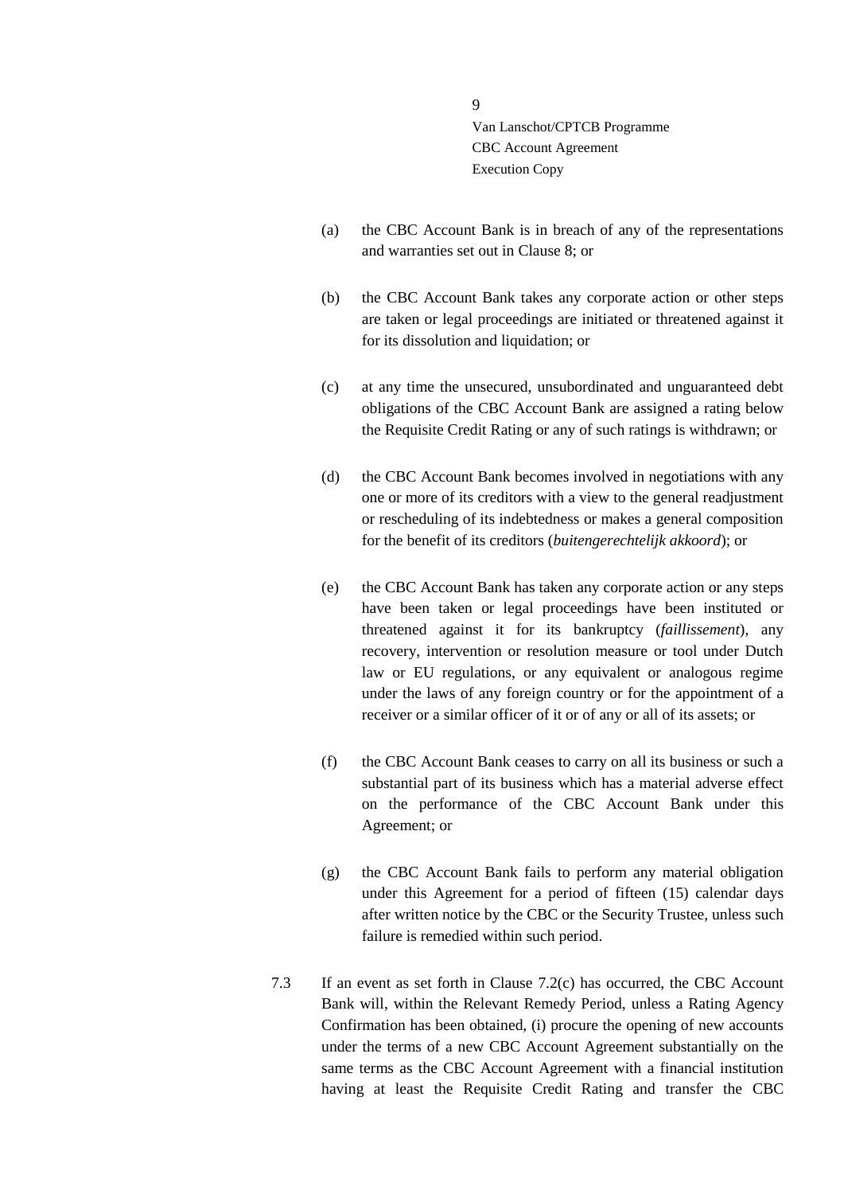- (a) the CBC Account Bank is in breach of any of the representations and warranties set out in Clause [8;](#page-9-0) or
- (b) the CBC Account Bank takes any corporate action or other steps are taken or legal proceedings are initiated or threatened against it for its dissolution and liquidation; or
- (c) at any time the unsecured, unsubordinated and unguaranteed debt obligations of the CBC Account Bank are assigned a rating below the Requisite Credit Rating or any of such ratings is withdrawn; or
- (d) the CBC Account Bank becomes involved in negotiations with any one or more of its creditors with a view to the general readjustment or rescheduling of its indebtedness or makes a general composition for the benefit of its creditors (*buitengerechtelijk akkoord*); or
- (e) the CBC Account Bank has taken any corporate action or any steps have been taken or legal proceedings have been instituted or threatened against it for its bankruptcy (*faillissement*), any recovery, intervention or resolution measure or tool under Dutch law or EU regulations, or any equivalent or analogous regime under the laws of any foreign country or for the appointment of a receiver or a similar officer of it or of any or all of its assets; or
- (f) the CBC Account Bank ceases to carry on all its business or such a substantial part of its business which has a material adverse effect on the performance of the CBC Account Bank under this Agreement; or
- (g) the CBC Account Bank fails to perform any material obligation under this Agreement for a period of fifteen (15) calendar days after written notice by the CBC or the Security Trustee, unless such failure is remedied within such period.
- <span id="page-8-0"></span>7.3 If an event as set forth in Clause 7.2(c) has occurred, the CBC Account Bank will, within the Relevant Remedy Period, unless a Rating Agency Confirmation has been obtained, (i) procure the opening of new accounts under the terms of a new CBC Account Agreement substantially on the same terms as the CBC Account Agreement with a financial institution having at least the Requisite Credit Rating and transfer the CBC

9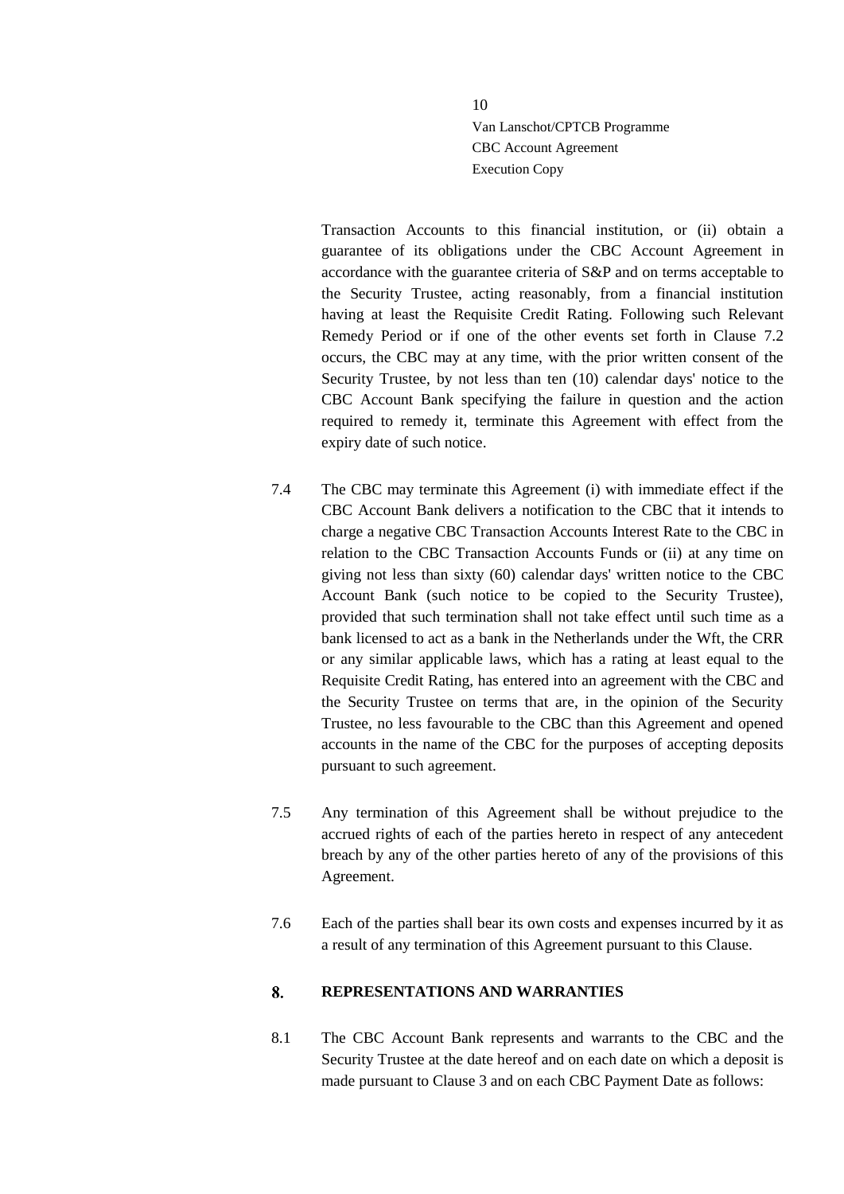Transaction Accounts to this financial institution, or (ii) obtain a guarantee of its obligations under the CBC Account Agreement in accordance with the guarantee criteria of S&P and on terms acceptable to the Security Trustee, acting reasonably, from a financial institution having at least the Requisite Credit Rating. Following such Relevant Remedy Period or if one of the other events set forth in Clause [7.2](#page-7-3) occurs, the CBC may at any time, with the prior written consent of the Security Trustee, by not less than ten (10) calendar days' notice to the CBC Account Bank specifying the failure in question and the action required to remedy it, terminate this Agreement with effect from the expiry date of such notice.

- 7.4 The CBC may terminate this Agreement (i) with immediate effect if the CBC Account Bank delivers a notification to the CBC that it intends to charge a negative CBC Transaction Accounts Interest Rate to the CBC in relation to the CBC Transaction Accounts Funds or (ii) at any time on giving not less than sixty (60) calendar days' written notice to the CBC Account Bank (such notice to be copied to the Security Trustee), provided that such termination shall not take effect until such time as a bank licensed to act as a bank in the Netherlands under the Wft, the CRR or any similar applicable laws, which has a rating at least equal to the Requisite Credit Rating, has entered into an agreement with the CBC and the Security Trustee on terms that are, in the opinion of the Security Trustee, no less favourable to the CBC than this Agreement and opened accounts in the name of the CBC for the purposes of accepting deposits pursuant to such agreement.
- 7.5 Any termination of this Agreement shall be without prejudice to the accrued rights of each of the parties hereto in respect of any antecedent breach by any of the other parties hereto of any of the provisions of this Agreement.
- 7.6 Each of the parties shall bear its own costs and expenses incurred by it as a result of any termination of this Agreement pursuant to this Clause.

#### <span id="page-9-0"></span>8. **REPRESENTATIONS AND WARRANTIES**

<span id="page-9-1"></span>8.1 The CBC Account Bank represents and warrants to the CBC and the Security Trustee at the date hereof and on each date on which a deposit is made pursuant to Clause 3 and on each CBC Payment Date as follows: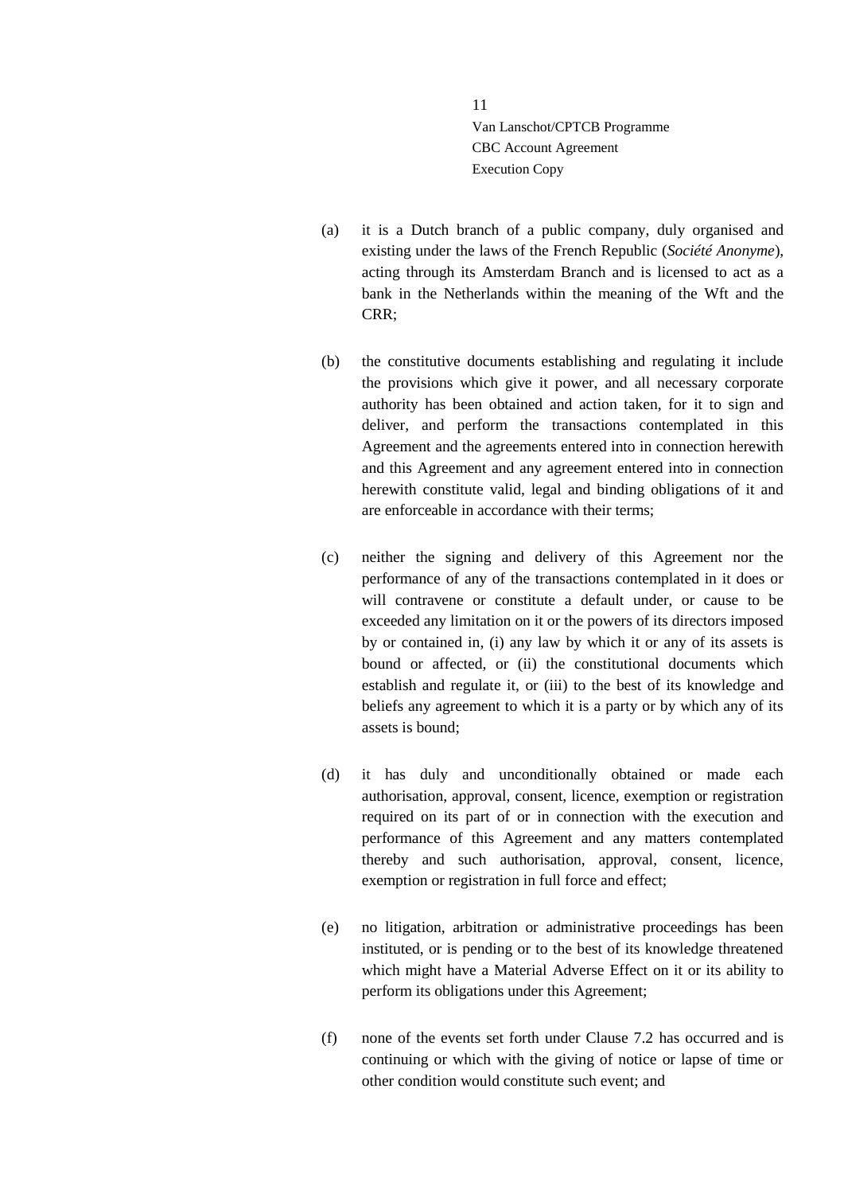- (a) it is a Dutch branch of a public company, duly organised and existing under the laws of the French Republic (*Société Anonyme*), acting through its Amsterdam Branch and is licensed to act as a bank in the Netherlands within the meaning of the Wft and the CRR;
- (b) the constitutive documents establishing and regulating it include the provisions which give it power, and all necessary corporate authority has been obtained and action taken, for it to sign and deliver, and perform the transactions contemplated in this Agreement and the agreements entered into in connection herewith and this Agreement and any agreement entered into in connection herewith constitute valid, legal and binding obligations of it and are enforceable in accordance with their terms;
- (c) neither the signing and delivery of this Agreement nor the performance of any of the transactions contemplated in it does or will contravene or constitute a default under, or cause to be exceeded any limitation on it or the powers of its directors imposed by or contained in, (i) any law by which it or any of its assets is bound or affected, or (ii) the constitutional documents which establish and regulate it, or (iii) to the best of its knowledge and beliefs any agreement to which it is a party or by which any of its assets is bound;
- (d) it has duly and unconditionally obtained or made each authorisation, approval, consent, licence, exemption or registration required on its part of or in connection with the execution and performance of this Agreement and any matters contemplated thereby and such authorisation, approval, consent, licence, exemption or registration in full force and effect;
- (e) no litigation, arbitration or administrative proceedings has been instituted, or is pending or to the best of its knowledge threatened which might have a Material Adverse Effect on it or its ability to perform its obligations under this Agreement;
- (f) none of the events set forth under Clause 7.2 has occurred and is continuing or which with the giving of notice or lapse of time or other condition would constitute such event; and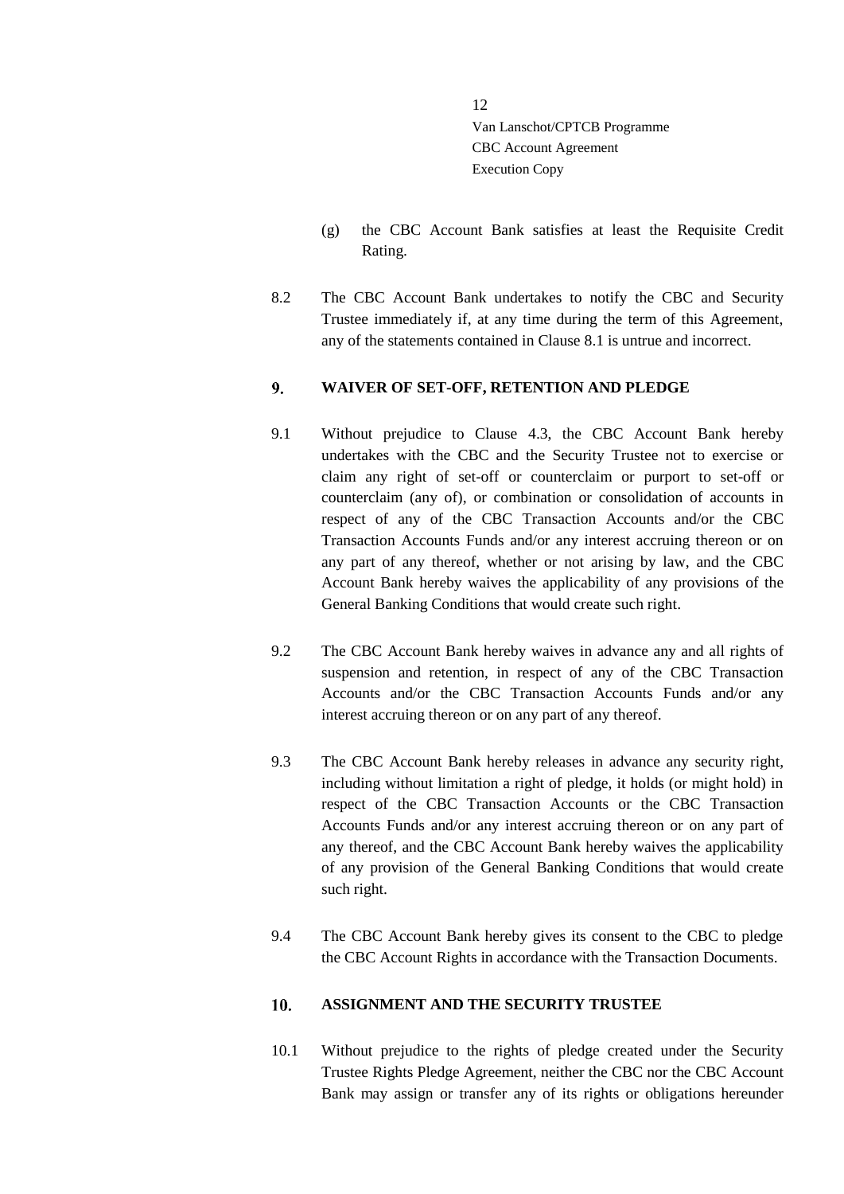- (g) the CBC Account Bank satisfies at least the Requisite Credit Rating.
- 8.2 The CBC Account Bank undertakes to notify the CBC and Security Trustee immediately if, at any time during the term of this Agreement, any of the statements contained in Clause [8.1](#page-9-1) is untrue and incorrect.

#### <span id="page-11-0"></span> $9<sub>1</sub>$ **WAIVER OF SET-OFF, RETENTION AND PLEDGE**

- 9.1 Without prejudice to Clause [4.3,](#page-6-0) the CBC Account Bank hereby undertakes with the CBC and the Security Trustee not to exercise or claim any right of set-off or counterclaim or purport to set-off or counterclaim (any of), or combination or consolidation of accounts in respect of any of the CBC Transaction Accounts and/or the CBC Transaction Accounts Funds and/or any interest accruing thereon or on any part of any thereof, whether or not arising by law, and the CBC Account Bank hereby waives the applicability of any provisions of the General Banking Conditions that would create such right.
- 9.2 The CBC Account Bank hereby waives in advance any and all rights of suspension and retention, in respect of any of the CBC Transaction Accounts and/or the CBC Transaction Accounts Funds and/or any interest accruing thereon or on any part of any thereof.
- 9.3 The CBC Account Bank hereby releases in advance any security right, including without limitation a right of pledge, it holds (or might hold) in respect of the CBC Transaction Accounts or the CBC Transaction Accounts Funds and/or any interest accruing thereon or on any part of any thereof, and the CBC Account Bank hereby waives the applicability of any provision of the General Banking Conditions that would create such right.
- 9.4 The CBC Account Bank hereby gives its consent to the CBC to pledge the CBC Account Rights in accordance with the Transaction Documents.

#### <span id="page-11-1"></span> $10.$ **ASSIGNMENT AND THE SECURITY TRUSTEE**

10.1 Without prejudice to the rights of pledge created under the Security Trustee Rights Pledge Agreement, neither the CBC nor the CBC Account Bank may assign or transfer any of its rights or obligations hereunder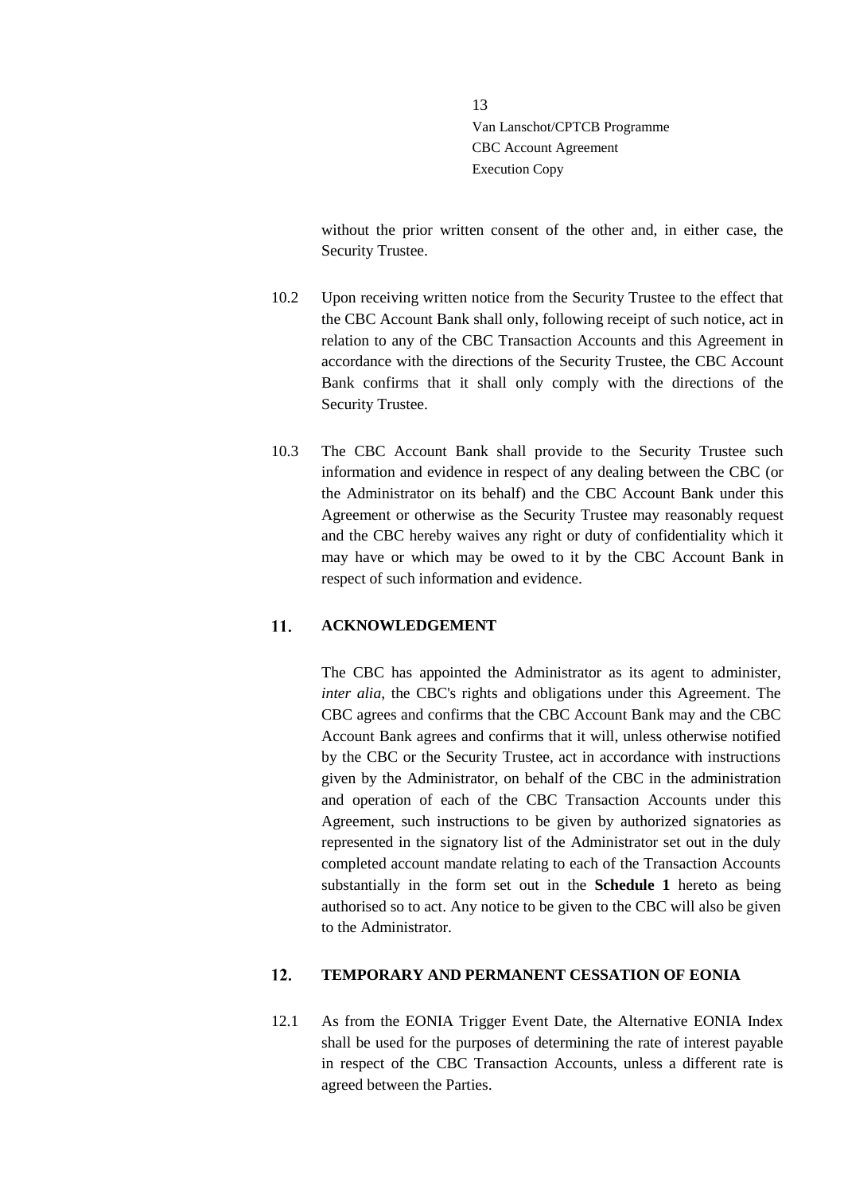without the prior written consent of the other and, in either case, the Security Trustee.

- 10.2 Upon receiving written notice from the Security Trustee to the effect that the CBC Account Bank shall only, following receipt of such notice, act in relation to any of the CBC Transaction Accounts and this Agreement in accordance with the directions of the Security Trustee, the CBC Account Bank confirms that it shall only comply with the directions of the Security Trustee.
- 10.3 The CBC Account Bank shall provide to the Security Trustee such information and evidence in respect of any dealing between the CBC (or the Administrator on its behalf) and the CBC Account Bank under this Agreement or otherwise as the Security Trustee may reasonably request and the CBC hereby waives any right or duty of confidentiality which it may have or which may be owed to it by the CBC Account Bank in respect of such information and evidence.

#### <span id="page-12-0"></span> $11.$ **ACKNOWLEDGEMENT**

The CBC has appointed the Administrator as its agent to administer, *inter alia*, the CBC's rights and obligations under this Agreement. The CBC agrees and confirms that the CBC Account Bank may and the CBC Account Bank agrees and confirms that it will, unless otherwise notified by the CBC or the Security Trustee, act in accordance with instructions given by the Administrator, on behalf of the CBC in the administration and operation of each of the CBC Transaction Accounts under this Agreement, such instructions to be given by authorized signatories as represented in the signatory list of the Administrator set out in the duly completed account mandate relating to each of the Transaction Accounts substantially in the form set out in the **Schedule 1** hereto as being authorised so to act. Any notice to be given to the CBC will also be given to the Administrator.

#### <span id="page-12-1"></span>**TEMPORARY AND PERMANENT CESSATION OF EONIA**  $12.$

12.1 As from the EONIA Trigger Event Date, the Alternative EONIA Index shall be used for the purposes of determining the rate of interest payable in respect of the CBC Transaction Accounts, unless a different rate is agreed between the Parties.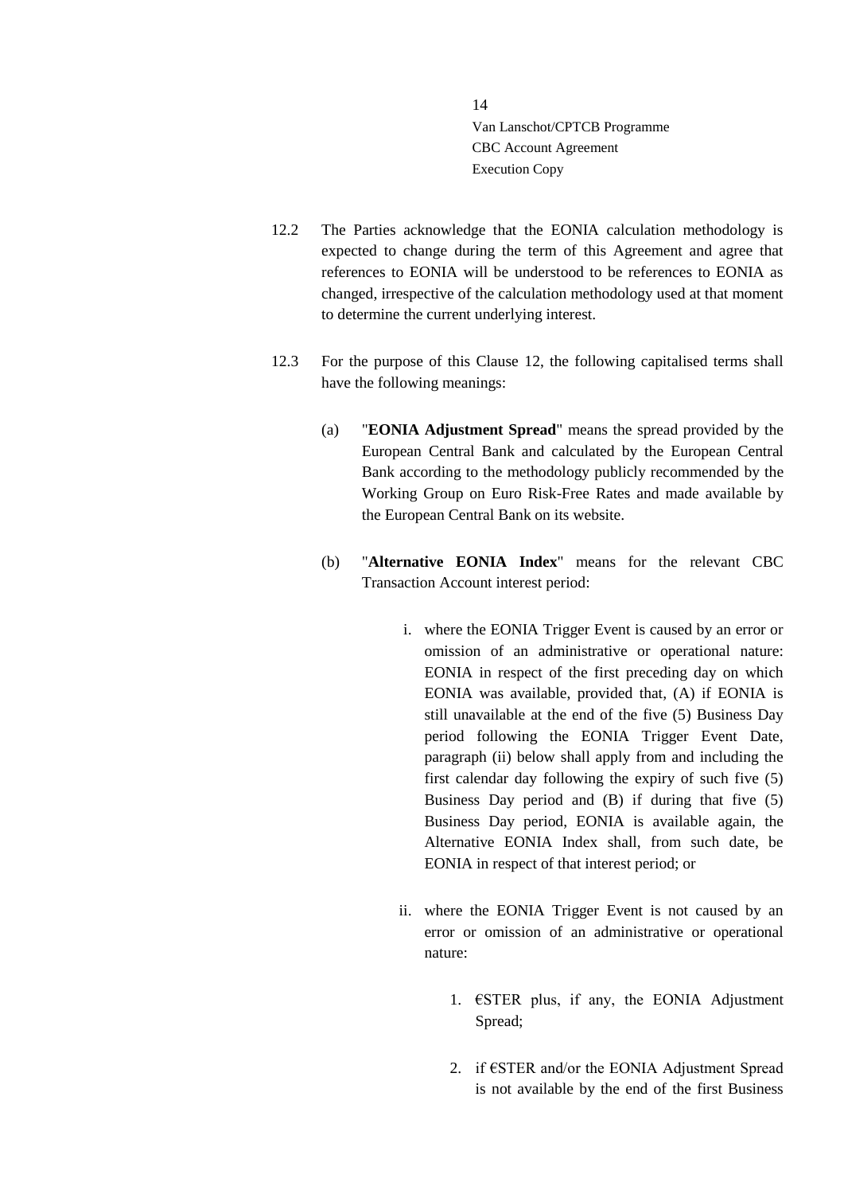- 12.2 The Parties acknowledge that the EONIA calculation methodology is expected to change during the term of this Agreement and agree that references to EONIA will be understood to be references to EONIA as changed, irrespective of the calculation methodology used at that moment to determine the current underlying interest.
- 12.3 For the purpose of this Clause [12,](#page-12-1) the following capitalised terms shall have the following meanings:
	- (a) "**EONIA Adjustment Spread**" means the spread provided by the European Central Bank and calculated by the European Central Bank according to the methodology publicly recommended by the Working Group on Euro Risk-Free Rates and made available by the European Central Bank on its website.
	- (b) "**Alternative EONIA Index**" means for the relevant CBC Transaction Account interest period:
		- i. where the EONIA Trigger Event is caused by an error or omission of an administrative or operational nature: EONIA in respect of the first preceding day on which EONIA was available, provided that, (A) if EONIA is still unavailable at the end of the five (5) Business Day period following the EONIA Trigger Event Date, paragraph (ii) below shall apply from and including the first calendar day following the expiry of such five (5) Business Day period and (B) if during that five (5) Business Day period, EONIA is available again, the Alternative EONIA Index shall, from such date, be EONIA in respect of that interest period; or
		- ii. where the EONIA Trigger Event is not caused by an error or omission of an administrative or operational nature:
			- 1.  $\epsilon$ STER plus, if any, the EONIA Adjustment Spread;
			- 2. if  $\epsilon$ STER and/or the EONIA Adjustment Spread is not available by the end of the first Business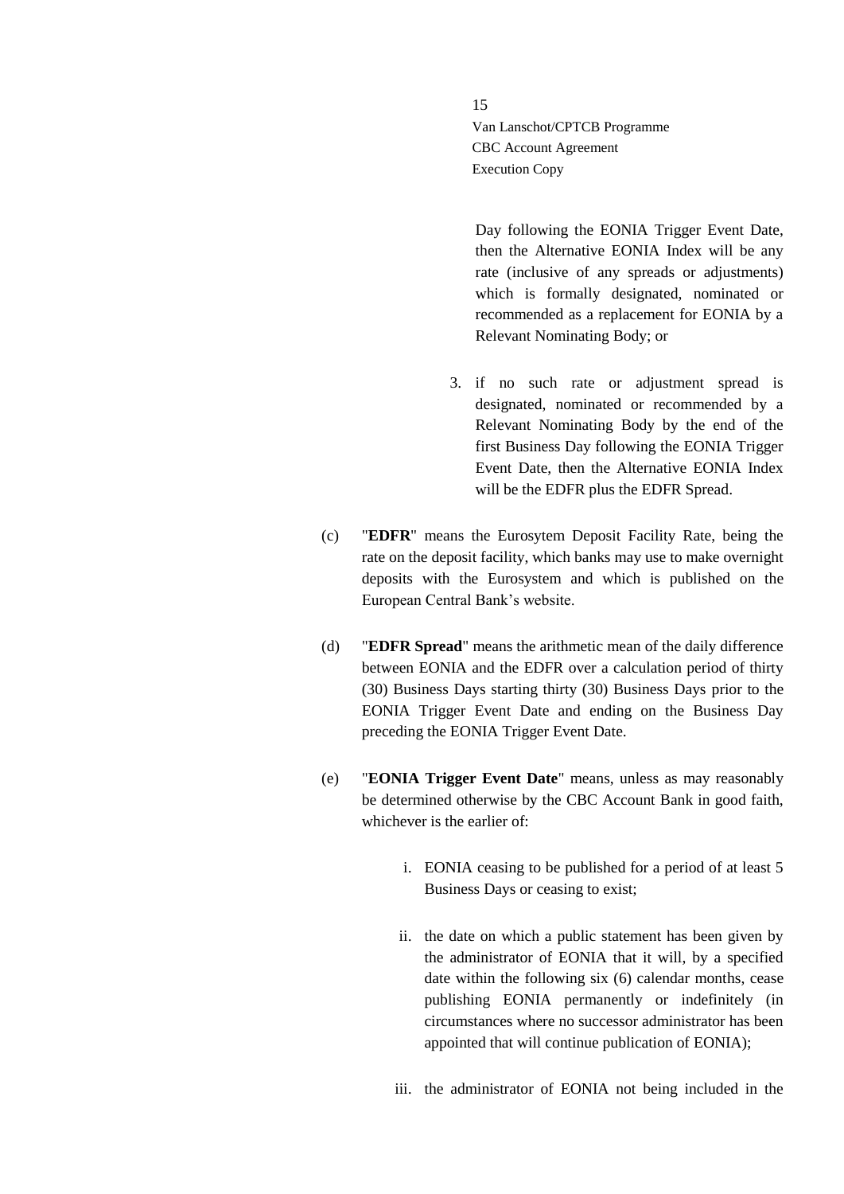Day following the EONIA Trigger Event Date, then the Alternative EONIA Index will be any rate (inclusive of any spreads or adjustments) which is formally designated, nominated or recommended as a replacement for EONIA by a Relevant Nominating Body; or

- 3. if no such rate or adjustment spread is designated, nominated or recommended by a Relevant Nominating Body by the end of the first Business Day following the EONIA Trigger Event Date, then the Alternative EONIA Index will be the EDFR plus the EDFR Spread.
- (c) "**EDFR**" means the Eurosytem Deposit Facility Rate, being the rate on the deposit facility, which banks may use to make overnight deposits with the Eurosystem and which is published on the European Central Bank's website.
- (d) "**EDFR Spread**" means the arithmetic mean of the daily difference between EONIA and the EDFR over a calculation period of thirty (30) Business Days starting thirty (30) Business Days prior to the EONIA Trigger Event Date and ending on the Business Day preceding the EONIA Trigger Event Date.
- (e) "**EONIA Trigger Event Date**" means, unless as may reasonably be determined otherwise by the CBC Account Bank in good faith, whichever is the earlier of:
	- i. EONIA ceasing to be published for a period of at least 5 Business Days or ceasing to exist;
	- ii. the date on which a public statement has been given by the administrator of EONIA that it will, by a specified date within the following six (6) calendar months, cease publishing EONIA permanently or indefinitely (in circumstances where no successor administrator has been appointed that will continue publication of EONIA);
	- iii. the administrator of EONIA not being included in the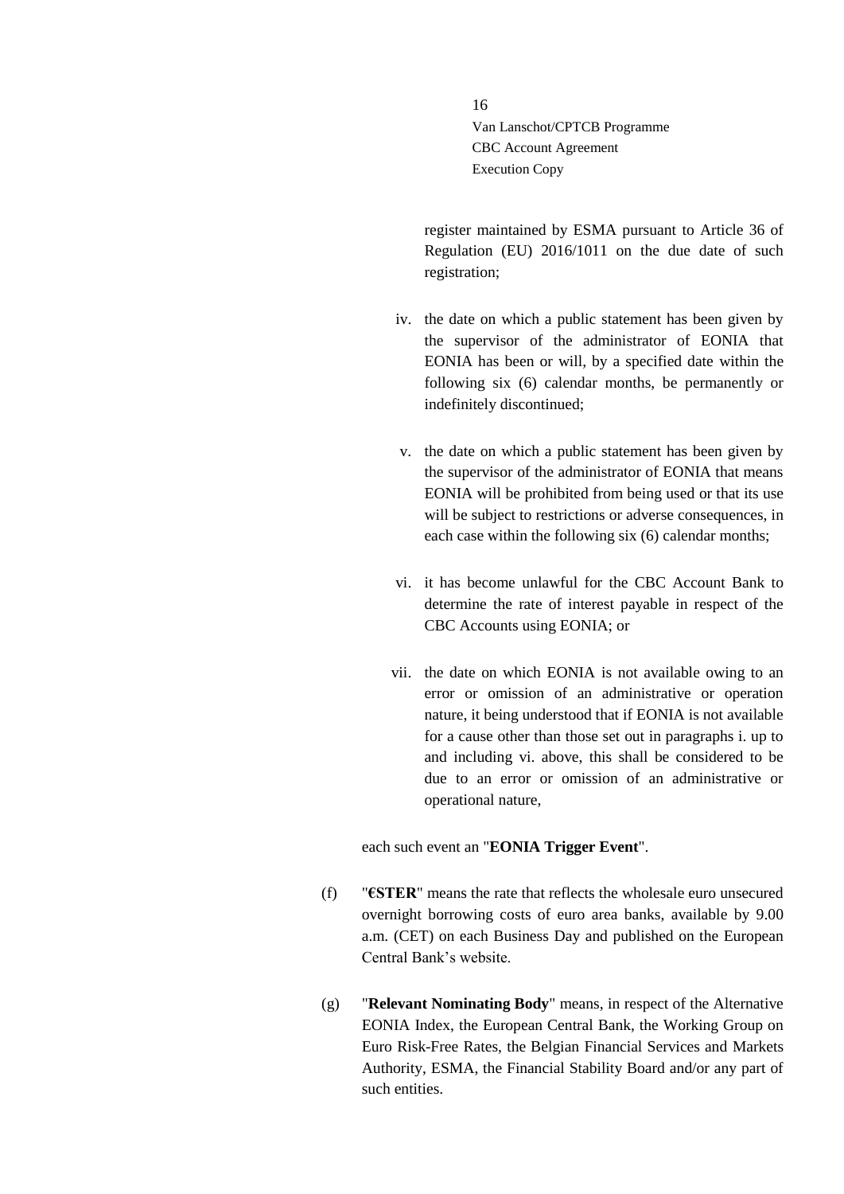register maintained by ESMA pursuant to Article 36 of Regulation (EU) 2016/1011 on the due date of such registration;

- iv. the date on which a public statement has been given by the supervisor of the administrator of EONIA that EONIA has been or will, by a specified date within the following six (6) calendar months, be permanently or indefinitely discontinued;
- v. the date on which a public statement has been given by the supervisor of the administrator of EONIA that means EONIA will be prohibited from being used or that its use will be subject to restrictions or adverse consequences, in each case within the following six (6) calendar months;
- vi. it has become unlawful for the CBC Account Bank to determine the rate of interest payable in respect of the CBC Accounts using EONIA; or
- vii. the date on which EONIA is not available owing to an error or omission of an administrative or operation nature, it being understood that if EONIA is not available for a cause other than those set out in paragraphs i. up to and including vi. above, this shall be considered to be due to an error or omission of an administrative or operational nature,

## each such event an "**EONIA Trigger Event**".

- (f) "**€STER**" means the rate that reflects the wholesale euro unsecured overnight borrowing costs of euro area banks, available by 9.00 a.m. (CET) on each Business Day and published on the European Central Bank's website.
- (g) "**Relevant Nominating Body**" means, in respect of the Alternative EONIA Index, the European Central Bank, the Working Group on Euro Risk-Free Rates, the Belgian Financial Services and Markets Authority, ESMA, the Financial Stability Board and/or any part of such entities.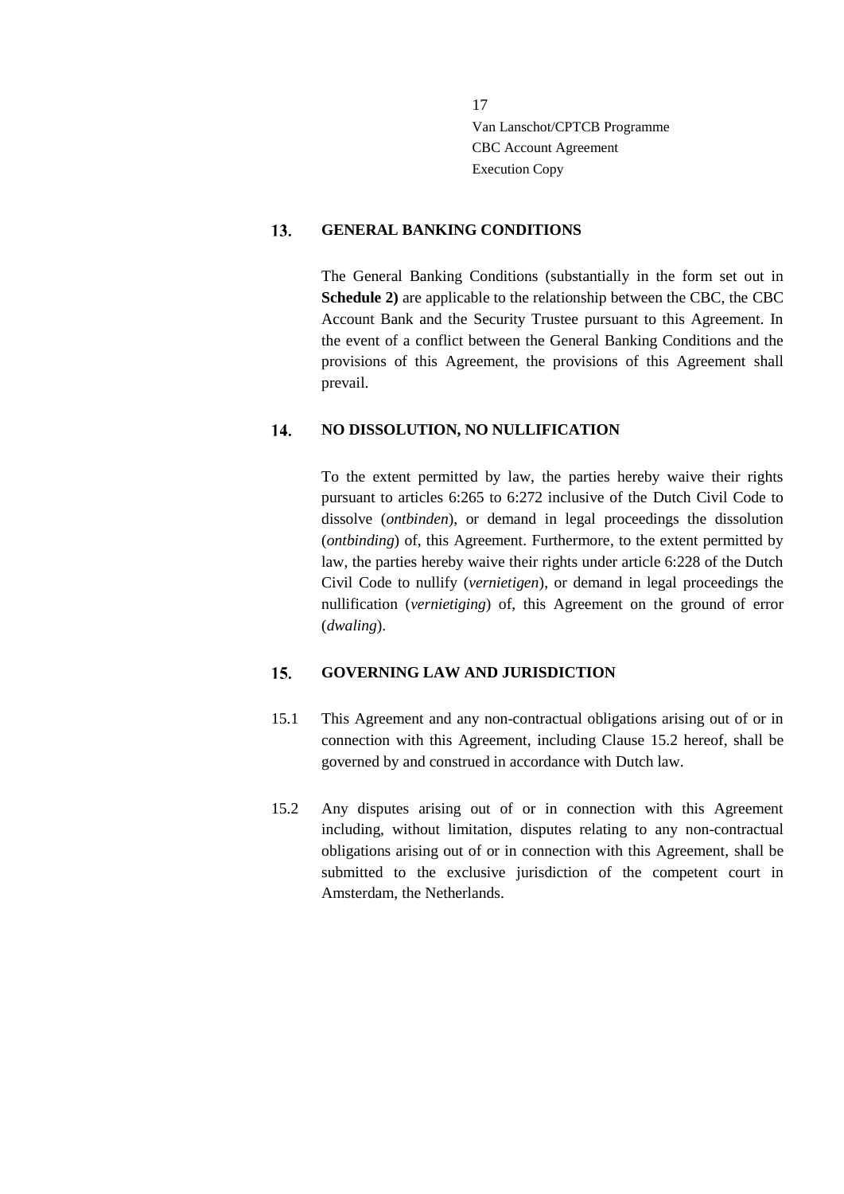#### <span id="page-16-0"></span> $13.$ **GENERAL BANKING CONDITIONS**

The General Banking Conditions (substantially in the form set out in **Schedule 2)** are applicable to the relationship between the CBC, the CBC Account Bank and the Security Trustee pursuant to this Agreement. In the event of a conflict between the General Banking Conditions and the provisions of this Agreement, the provisions of this Agreement shall prevail.

#### <span id="page-16-1"></span> $14.$ **NO DISSOLUTION, NO NULLIFICATION**

To the extent permitted by law, the parties hereby waive their rights pursuant to articles 6:265 to 6:272 inclusive of the Dutch Civil Code to dissolve (*ontbinden*), or demand in legal proceedings the dissolution (*ontbinding*) of, this Agreement. Furthermore, to the extent permitted by law, the parties hereby waive their rights under article 6:228 of the Dutch Civil Code to nullify (*vernietigen*), or demand in legal proceedings the nullification (*vernietiging*) of, this Agreement on the ground of error (*dwaling*).

#### <span id="page-16-2"></span>15. **GOVERNING LAW AND JURISDICTION**

- 15.1 This Agreement and any non-contractual obligations arising out of or in connection with this Agreement, including Clause [15.2](#page-16-3) hereof, shall be governed by and construed in accordance with Dutch law.
- <span id="page-16-3"></span>15.2 Any disputes arising out of or in connection with this Agreement including, without limitation, disputes relating to any non-contractual obligations arising out of or in connection with this Agreement, shall be submitted to the exclusive jurisdiction of the competent court in Amsterdam, the Netherlands.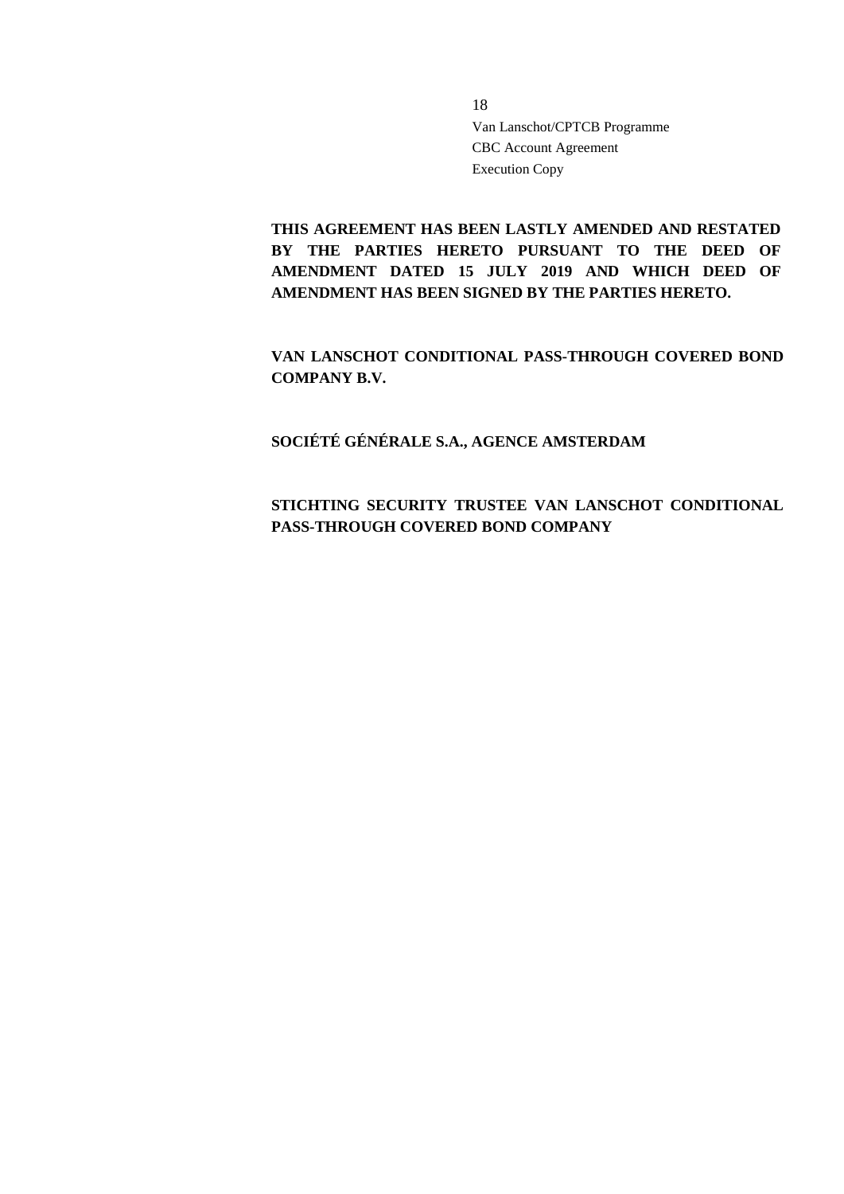**THIS AGREEMENT HAS BEEN LASTLY AMENDED AND RESTATED**  BY THE PARTIES HERETO PURSUANT TO THE DEED OF **AMENDMENT DATED 15 JULY 2019 AND WHICH DEED OF AMENDMENT HAS BEEN SIGNED BY THE PARTIES HERETO.**

**VAN LANSCHOT CONDITIONAL PASS-THROUGH COVERED BOND COMPANY B.V.**

**SOCIÉTÉ GÉNÉRALE S.A., AGENCE AMSTERDAM**

## **STICHTING SECURITY TRUSTEE VAN LANSCHOT CONDITIONAL PASS-THROUGH COVERED BOND COMPANY**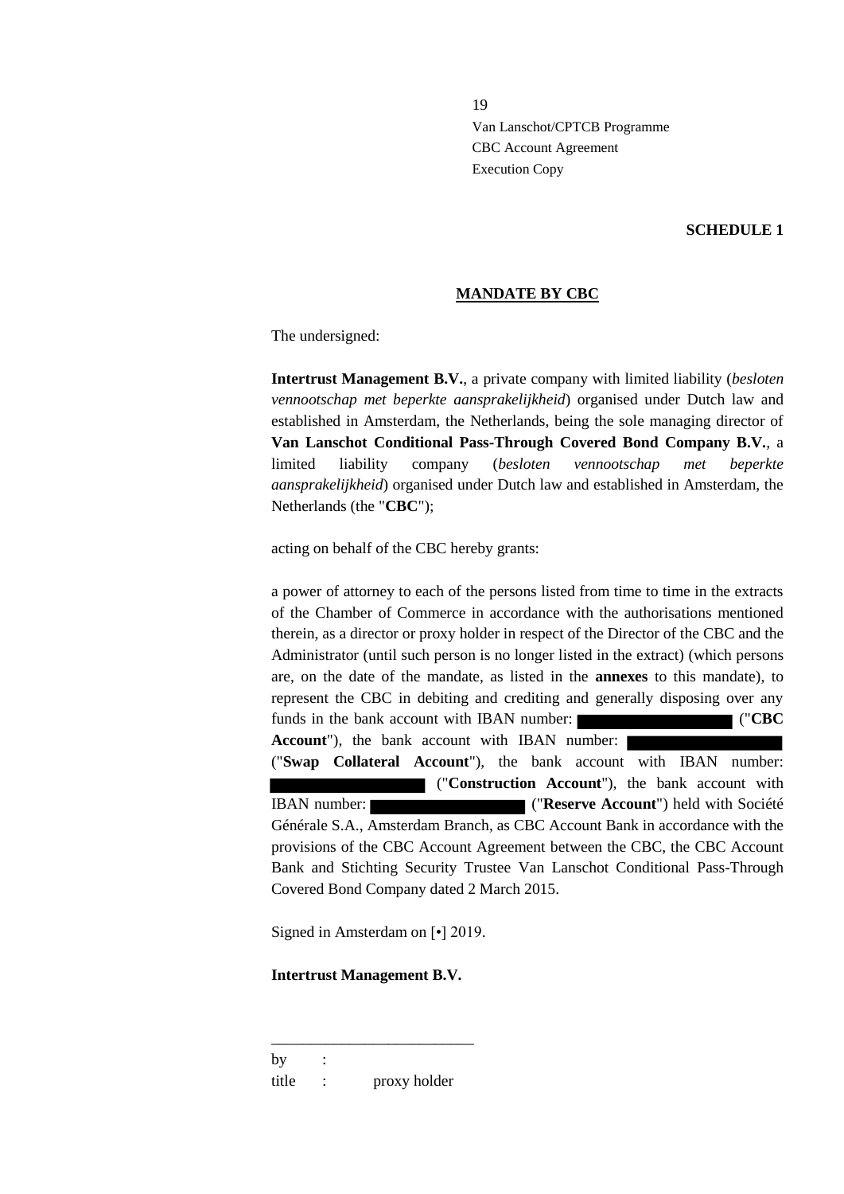### **SCHEDULE 1**

### **MANDATE BY CBC**

The undersigned:

**Intertrust Management B.V.**, a private company with limited liability (*besloten vennootschap met beperkte aansprakelijkheid*) organised under Dutch law and established in Amsterdam, the Netherlands, being the sole managing director of **Van Lanschot Conditional Pass-Through Covered Bond Company B.V.**, a limited liability company (*besloten vennootschap met beperkte aansprakelijkheid*) organised under Dutch law and established in Amsterdam, the Netherlands (the "**CBC**");

acting on behalf of the CBC hereby grants:

a power of attorney to each of the persons listed from time to time in the extracts of the Chamber of Commerce in accordance with the authorisations mentioned therein, as a director or proxy holder in respect of the Director of the CBC and the Administrator (until such person is no longer listed in the extract) (which persons are, on the date of the mandate, as listed in the **annexes** to this mandate), to represent the CBC in debiting and crediting and generally disposing over any funds in the bank account with IBAN number: ("**CBC Account**"), the bank account with IBAN number: ("**Swap Collateral Account**"), the bank account with IBAN number: ("**Construction Account**"), the bank account with IBAN number: ("**Reserve Account**") held with Société Générale S.A., Amsterdam Branch, as CBC Account Bank in accordance with the provisions of the CBC Account Agreement between the CBC, the CBC Account Bank and Stichting Security Trustee Van Lanschot Conditional Pass-Through

Signed in Amsterdam on [•] 2019.

Covered Bond Company dated 2 March 2015.

### **Intertrust Management B.V.**

by : title : proxy holder

\_\_\_\_\_\_\_\_\_\_\_\_\_\_\_\_\_\_\_\_\_\_\_\_\_\_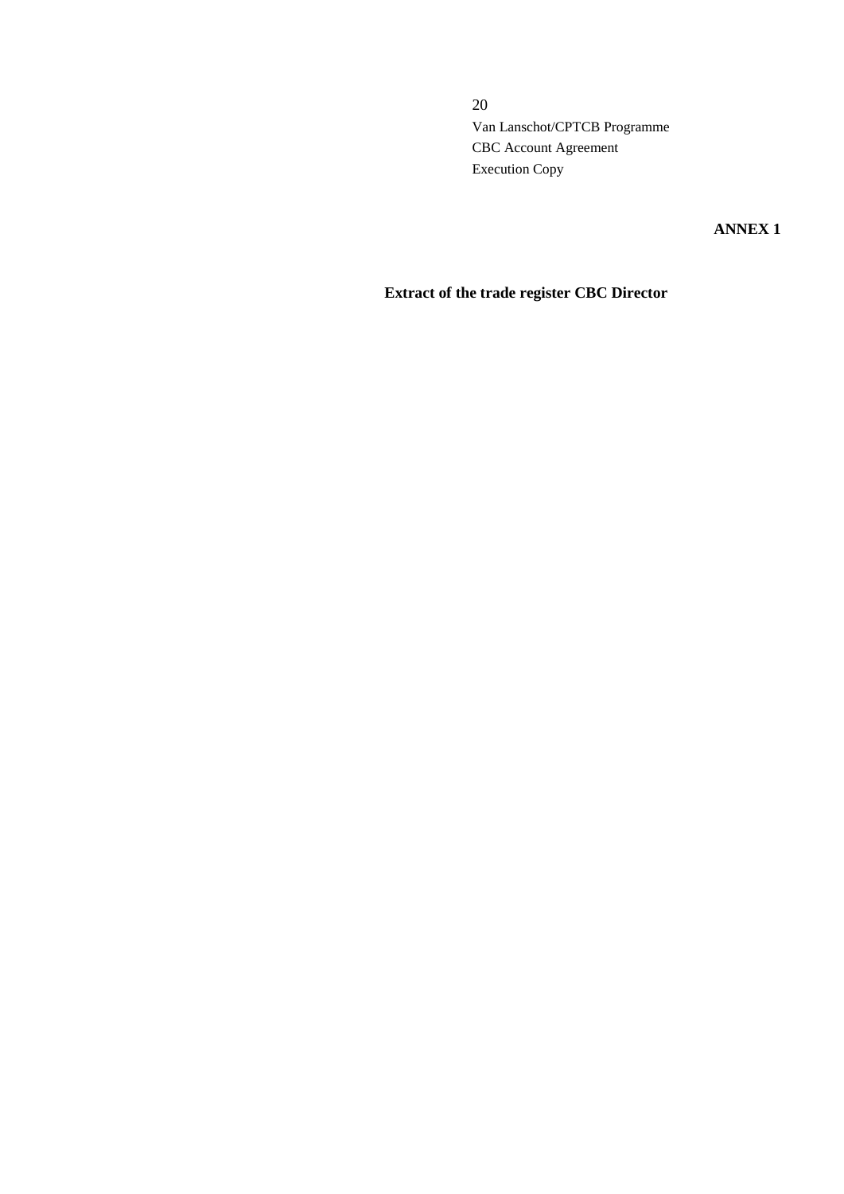**ANNEX 1**

# **Extract of the trade register CBC Director**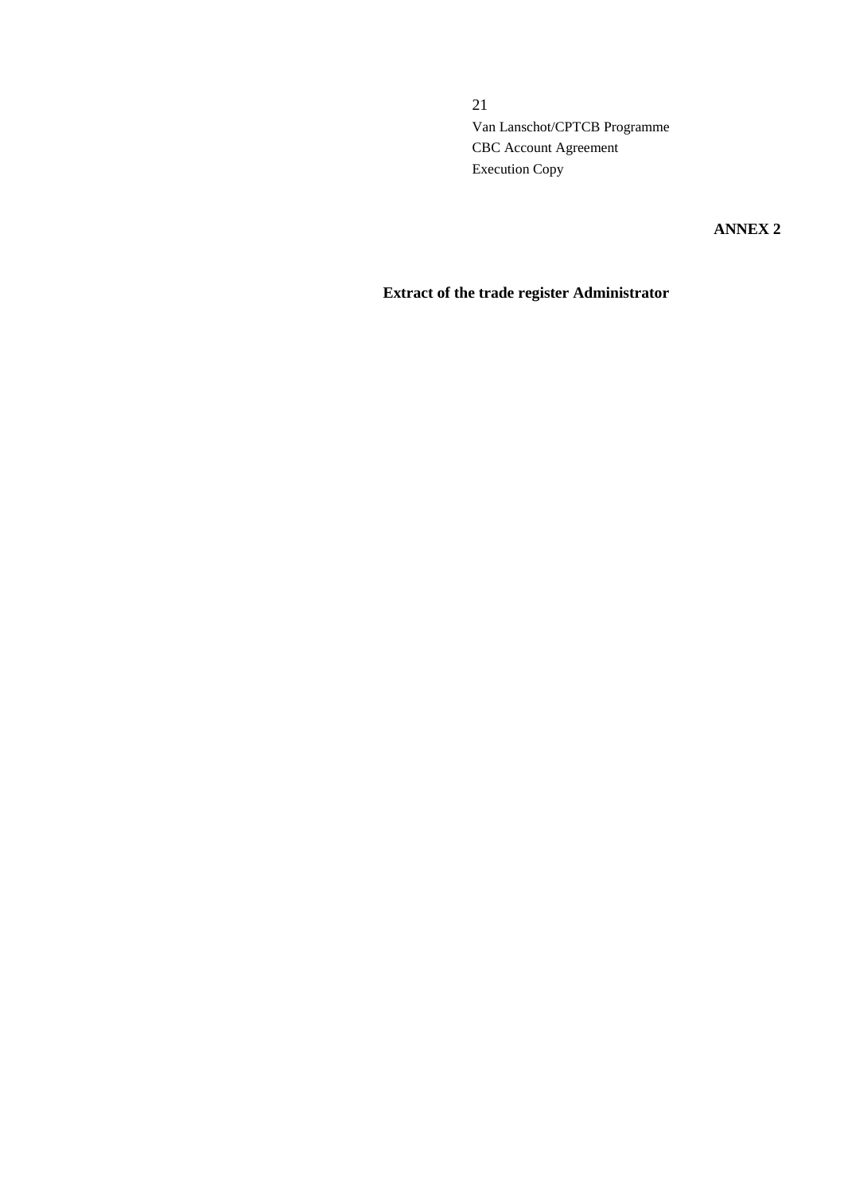**ANNEX 2**

# **Extract of the trade register Administrator**